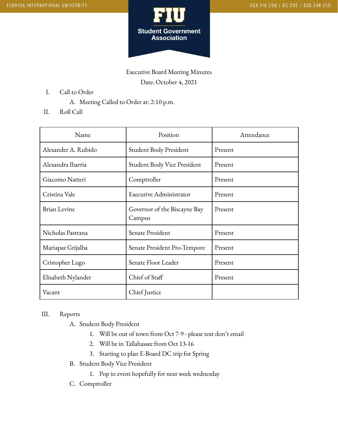

Executive Board Meeting Minutes Date: October 4, 2021

- I. Call to Order
	- A. Meeting Called to Order at: 2:10 p.m.
- II. Roll Call

| Name                | Position                               | Attendance |
|---------------------|----------------------------------------|------------|
| Alexander A. Rubido | Student Body President                 | Present    |
| Alexandra Ibarria   | Student Body Vice President            | Present    |
| Giacomo Natteri     | Comptroller                            | Present    |
| Cristina Vale       | Executive Administrator                | Present    |
| <b>Brian Levine</b> | Governor of the Biscayne Bay<br>Campus | Present    |
| Nicholas Pastrana   | Senate President                       | Present    |
| Mariapaz Grijalba   | Senate President Pro-Tempore           | Present    |
| Cristopher Lugo     | Senate Floor Leader                    | Present    |
| Elisabeth Nylander  | Chief of Staff                         | Present    |
| Vacant              | Chief Justice                          |            |

## III. Reports

- A. Student Body President
	- 1. Will be out of town from Oct 7-9 please text don't email
	- 2. Will be in Tallahassee from Oct 13-16
	- 3. Starting to plan E-Board DC trip for Spring
- B. Student Body Vice President
	- 1. Pop in event hopefully for next week wednesday
- C. Comptroller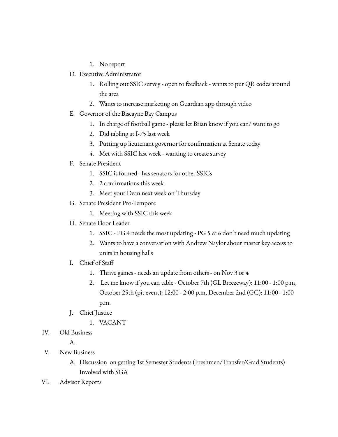- 1. No report
- D. Executive Administrator
	- 1. Rolling out SSIC survey open to feedback wants to put QR codes around the area
	- 2. Wants to increase marketing on Guardian app through video
- E. Governor of the Biscayne Bay Campus
	- 1. In charge of football game please let Brian know if you can/ want to go
	- 2. Did tabling at I-75 last week
	- 3. Putting up lieutenant governor for confirmation at Senate today
	- 4. Met with SSIC last week wanting to create survey
- F. Senate President
	- 1. SSIC is formed has senators for other SSICs
	- 2. 2 confirmations this week
	- 3. Meet your Dean next week on Thursday
- G. Senate President Pro-Tempore
	- 1. Meeting with SSIC this week
- H. Senate Floor Leader
	- 1. SSIC PG 4 needs the most updating PG 5 & 6 don't need much updating
	- 2. Wants to have a conversation with Andrew Naylor about master key access to units in housing halls
- I. Chief of Staff
	- 1. Thrive games needs an update from others on Nov 3 or 4
	- 2. Let me know if you can table October 7th (GL Breezeway): 11:00 1:00 p.m, October 25th (pit event): 12:00 - 2:00 p.m, December 2nd (GC): 11:00 - 1:00 p.m.
- J. Chief Justice
	- 1. VACANT
- IV. Old Business

A.

- V. New Business
	- A. Discussion on getting 1st Semester Students (Freshmen/Transfer/Grad Students) Involved with SGA
- VI. Advisor Reports